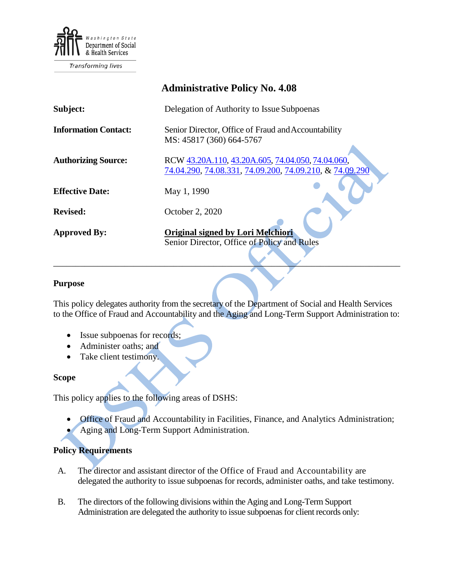

Transforming lives

|                             | <b>Administrative Policy No. 4.08</b>                                                                        |
|-----------------------------|--------------------------------------------------------------------------------------------------------------|
| Subject:                    | Delegation of Authority to Issue Subpoenas                                                                   |
| <b>Information Contact:</b> | Senior Director, Office of Fraud and Accountability<br>MS: 45817 (360) 664-5767                              |
| <b>Authorizing Source:</b>  | RCW 43.20A.110, 43.20A.605, 74.04.050, 74.04.060,<br>74.04.290, 74.08.331, 74.09.200, 74.09.210, & 74.09.290 |
| <b>Effective Date:</b>      | May 1, 1990                                                                                                  |
| <b>Revised:</b>             | October 2, 2020                                                                                              |
| <b>Approved By:</b>         | <b>Original signed by Lori Melchiori</b><br>Senior Director, Office of Policy and Rules                      |

## **Purpose**

This policy delegates authority from the secretary of the Department of Social and Health Services to the Office of Fraud and Accountability and the Aging and Long-Term Support Administration to:

\_\_\_\_\_\_\_\_\_\_\_\_\_\_\_\_\_\_\_\_\_\_\_\_\_\_\_\_\_\_\_\_\_\_\_\_\_\_\_\_\_\_\_\_\_\_\_\_\_\_\_\_\_\_\_\_\_\_\_\_\_\_\_\_\_\_\_\_\_\_\_\_\_\_\_\_\_\_

- Issue subpoenas for records;
- Administer oaths; and
- Take client testimony.

## **Scope**

This policy applies to the following areas of DSHS:

- Office of Fraud and Accountability in Facilities, Finance, and Analytics Administration;
- Aging and Long-Term Support Administration.

## **Policy Requirements**

- A. The director and assistant director of the Office of Fraud and Accountability are delegated the authority to issue subpoenas for records, administer oaths, and take testimony.
- B. The directors of the following divisions within the Aging and Long-Term Support Administration are delegated the authority to issue subpoenas for client records only: